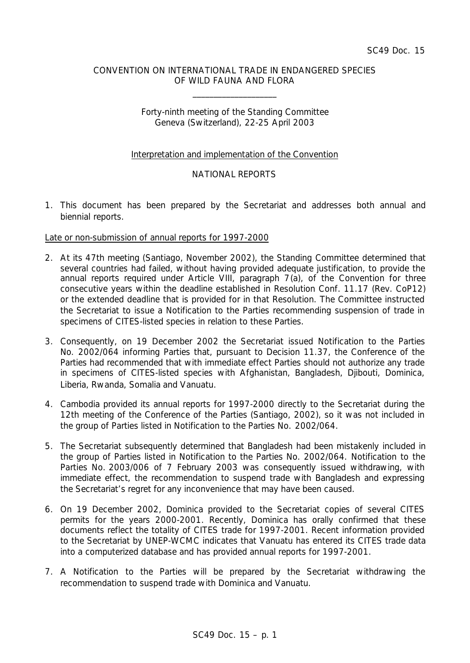# CONVENTION ON INTERNATIONAL TRADE IN ENDANGERED SPECIES OF WILD FAUNA AND FLORA

\_\_\_\_\_\_\_\_\_\_\_\_\_\_\_\_\_\_\_\_

# Forty-ninth meeting of the Standing Committee Geneva (Switzerland), 22-25 April 2003

# Interpretation and implementation of the Convention

# NATIONAL REPORTS

1. This document has been prepared by the Secretariat and addresses both annual and biennial reports.

# Late or non-submission of annual reports for 1997-2000

- 2. At its 47th meeting (Santiago, November 2002), the Standing Committee determined that several countries had failed, without having provided adequate justification, to provide the annual reports required under Article VIII, paragraph 7(a), of the Convention for three consecutive years within the deadline established in Resolution Conf. 11.17 (Rev. CoP12) or the extended deadline that is provided for in that Resolution. The Committee instructed the Secretariat to issue a Notification to the Parties recommending suspension of trade in specimens of CITES-listed species in relation to these Parties.
- 3. Consequently, on 19 December 2002 the Secretariat issued Notification to the Parties No. 2002/064 informing Parties that, pursuant to Decision 11.37, the Conference of the Parties had recommended that with immediate effect Parties should not authorize any trade in specimens of CITES-listed species with Afghanistan, Bangladesh, Djibouti, Dominica, Liberia, Rwanda, Somalia and Vanuatu.
- 4. Cambodia provided its annual reports for 1997-2000 directly to the Secretariat during the 12th meeting of the Conference of the Parties (Santiago, 2002), so it was not included in the group of Parties listed in Notification to the Parties No. 2002/064.
- 5. The Secretariat subsequently determined that Bangladesh had been mistakenly included in the group of Parties listed in Notification to the Parties No. 2002/064. Notification to the Parties No. 2003/006 of 7 February 2003 was consequently issued withdrawing, with immediate effect, the recommendation to suspend trade with Bangladesh and expressing the Secretariat's regret for any inconvenience that may have been caused.
- 6. On 19 December 2002, Dominica provided to the Secretariat copies of several CITES permits for the years 2000-2001. Recently, Dominica has orally confirmed that these documents reflect the totality of CITES trade for 1997-2001. Recent information provided to the Secretariat by UNEP-WCMC indicates that Vanuatu has entered its CITES trade data into a computerized database and has provided annual reports for 1997-2001.
- 7. A Notification to the Parties will be prepared by the Secretariat withdrawing the recommendation to suspend trade with Dominica and Vanuatu.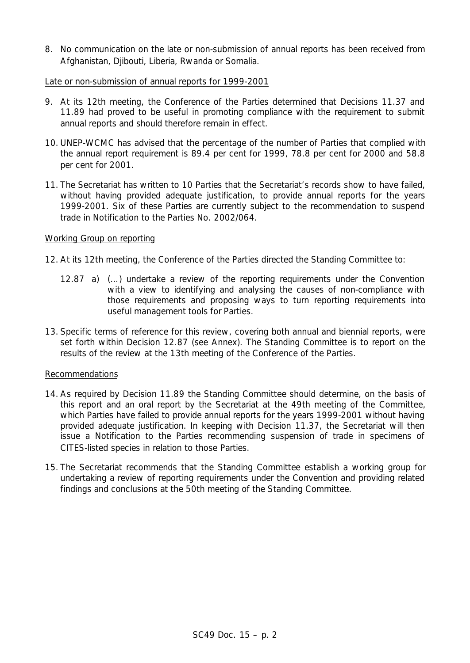8. No communication on the late or non-submission of annual reports has been received from Afghanistan, Djibouti, Liberia, Rwanda or Somalia.

### Late or non-submission of annual reports for 1999-2001

- 9. At its 12th meeting, the Conference of the Parties determined that Decisions 11.37 and 11.89 had proved to be useful in promoting compliance with the requirement to submit annual reports and should therefore remain in effect.
- 10. UNEP-WCMC has advised that the percentage of the number of Parties that complied with the annual report requirement is 89.4 per cent for 1999, 78.8 per cent for 2000 and 58.8 per cent for 2001.
- 11. The Secretariat has written to 10 Parties that the Secretariat's records show to have failed, without having provided adequate justification, to provide annual reports for the years 1999-2001. Six of these Parties are currently subject to the recommendation to suspend trade in Notification to the Parties No. 2002/064.

# Working Group on reporting

- 12. At its 12th meeting, the Conference of the Parties directed the Standing Committee to:
	- *12.87 a) (…) undertake a review of the reporting requirements under the Convention with a view to identifying and analysing the causes of non-compliance with those requirements and proposing ways to turn reporting requirements into useful management tools for Parties.*
- 13. Specific terms of reference for this review, covering both annual and biennial reports, were set forth within Decision 12.87 (see Annex). The Standing Committee is to report on the results of the review at the 13th meeting of the Conference of the Parties.

# Recommendations

- 14. As required by Decision 11.89 the Standing Committee should determine, on the basis of this report and an oral report by the Secretariat at the 49th meeting of the Committee, which Parties have failed to provide annual reports for the years 1999-2001 without having provided adequate justification. In keeping with Decision 11.37, the Secretariat will then issue a Notification to the Parties recommending suspension of trade in specimens of CITES-listed species in relation to those Parties.
- 15. The Secretariat recommends that the Standing Committee establish a working group for undertaking a review of reporting requirements under the Convention and providing related findings and conclusions at the 50th meeting of the Standing Committee.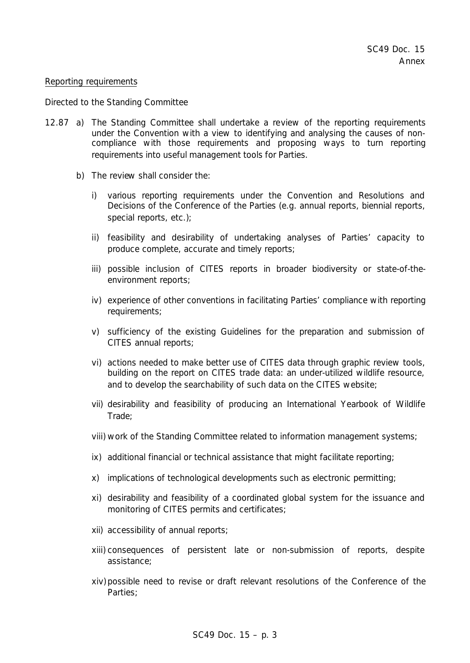### *Reporting requirements*

#### *Directed to the Standing Committee*

- *12.87 a) The Standing Committee shall undertake a review of the reporting requirements under the Convention with a view to identifying and analysing the causes of noncompliance with those requirements and proposing ways to turn reporting requirements into useful management tools for Parties.*
	- *b) The review shall consider the:*
		- *i) various reporting requirements under the Convention and Resolutions and Decisions of the Conference of the Parties (e.g. annual reports, biennial reports, special reports, etc.);*
		- *ii) feasibility and desirability of undertaking analyses of Parties' capacity to produce complete, accurate and timely reports;*
		- *iii) possible inclusion of CITES reports in broader biodiversity or state-of-theenvironment reports;*
		- *iv) experience of other conventions in facilitating Parties' compliance with reporting requirements;*
		- *v) sufficiency of the existing Guidelines for the preparation and submission of CITES annual reports;*
		- *vi) actions needed to make better use of CITES data through graphic review tools, building on the report on CITES trade data: an under-utilized wildlife resource, and to develop the searchability of such data on the CITES website;*
		- *vii) desirability and feasibility of producing an International Yearbook of Wildlife Trade;*
		- *viii) work of the Standing Committee related to information management systems;*
		- *ix) additional financial or technical assistance that might facilitate reporting;*
		- *x) implications of technological developments such as electronic permitting;*
		- *xi) desirability and feasibility of a coordinated global system for the issuance and monitoring of CITES permits and certificates;*
		- *xii) accessibility of annual reports;*
		- *xiii) consequences of persistent late or non-submission of reports, despite assistance;*
		- *xiv)possible need to revise or draft relevant resolutions of the Conference of the Parties;*